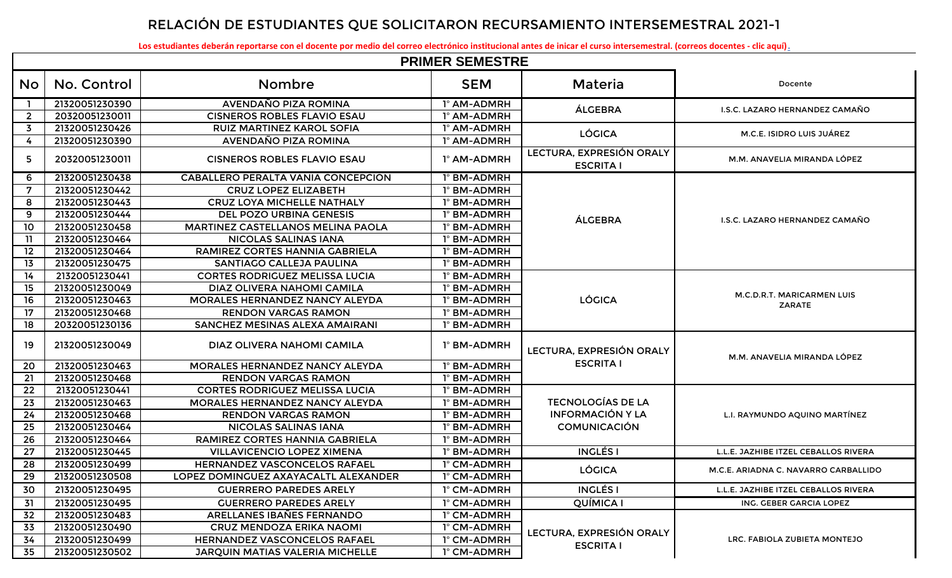## **RELACIÓN DE ESTUDIANTES QUE SOLICITARON RECURSAMIENTO INTERSEMESTRAL 2021-1**

**[Los estudiantes deberán reportarse con el docente por medio del correo electrónico institucional antes de inicar el curso intersemestral. \(correos docentes - clic aquí\)](http://cbtis123.edu.mx/pdf/correos_docentes_b6.pdf).**

|                | <b>PRIMER SEMESTRE</b> |                                           |             |                                              |                                      |  |  |  |
|----------------|------------------------|-------------------------------------------|-------------|----------------------------------------------|--------------------------------------|--|--|--|
| No             | No. Control            | <b>Nombre</b>                             | <b>SEM</b>  | Materia                                      | Docente                              |  |  |  |
|                | 21320051230390         | AVENDAÑO PIZA ROMINA                      | 1° AM-ADMRH | ÁLGEBRA                                      | I.S.C. LAZARO HERNANDEZ CAMAÑO       |  |  |  |
| $\overline{2}$ | 20320051230011         | <b>CISNEROS ROBLES FLAVIO ESAU</b>        | 1° AM-ADMRH |                                              |                                      |  |  |  |
| $\overline{3}$ | 21320051230426         | <b>RUIZ MARTINEZ KAROL SOFIA</b>          | 1° AM-ADMRH |                                              |                                      |  |  |  |
| 4              | 21320051230390         | AVENDAÑO PIZA ROMINA                      | 1° AM-ADMRH | <b>LÓGICA</b>                                | M.C.E. ISIDRO LUIS JUÁREZ            |  |  |  |
| 5              | 20320051230011         | <b>CISNEROS ROBLES FLAVIO ESAU</b>        | 1° AM-ADMRH | LECTURA, EXPRESIÓN ORALY<br><b>ESCRITA I</b> | M.M. ANAVELIA MIRANDA LÓPEZ          |  |  |  |
| 6              | 21320051230438         | <b>CABALLERO PERALTA VANIA CONCEPCION</b> | 1° BM-ADMRH |                                              |                                      |  |  |  |
| 7              | 21320051230442         | <b>CRUZ LOPEZ ELIZABETH</b>               | 1° BM-ADMRH |                                              |                                      |  |  |  |
| 8              | 21320051230443         | <b>CRUZ LOYA MICHELLE NATHALY</b>         | 1° BM-ADMRH |                                              |                                      |  |  |  |
| 9              | 21320051230444         | DEL POZO URBINA GENESIS                   | 1° BM-ADMRH | ÁLGEBRA                                      |                                      |  |  |  |
| 10             | 21320051230458         | MARTINEZ CASTELLANOS MELINA PAOLA         | 1° BM-ADMRH |                                              | I.S.C. LAZARO HERNANDEZ CAMAÑO       |  |  |  |
| $\overline{1}$ | 21320051230464         | <b>NICOLAS SALINAS IANA</b>               | 1° BM-ADMRH |                                              |                                      |  |  |  |
| 12             | 21320051230464         | RAMIREZ CORTES HANNIA GABRIELA            | 1° BM-ADMRH |                                              |                                      |  |  |  |
| 13             | 21320051230475         | SANTIAGO CALLEJA PAULINA                  | 1° BM-ADMRH |                                              |                                      |  |  |  |
| 14             | 21320051230441         | <b>CORTES RODRIGUEZ MELISSA LUCIA</b>     | 1° BM-ADMRH |                                              |                                      |  |  |  |
| 15             | 21320051230049         | DIAZ OLIVERA NAHOMI CAMILA                | 1° BM-ADMRH |                                              |                                      |  |  |  |
| 16             | 21320051230463         | <b>MORALES HERNANDEZ NANCY ALEYDA</b>     | 1° BM-ADMRH | <b>LÓGICA</b>                                | M.C.D.R.T. MARICARMEN LUIS<br>ZARATE |  |  |  |
| 17             | 21320051230468         | <b>RENDON VARGAS RAMON</b>                | 1° BM-ADMRH |                                              |                                      |  |  |  |
| 18             | 20320051230136         | SANCHEZ MESINAS ALEXA AMAIRANI            | 1° BM-ADMRH |                                              |                                      |  |  |  |
| 19             | 21320051230049         | DIAZ OLIVERA NAHOMI CAMILA                | 1° BM-ADMRH | LECTURA, EXPRESIÓN ORALY                     | M.M. ANAVELIA MIRANDA LÓPEZ          |  |  |  |
| 20             | 21320051230463         | MORALES HERNANDEZ NANCY ALEYDA            | 1° BM-ADMRH | <b>ESCRITA I</b>                             |                                      |  |  |  |
| 21             | 21320051230468         | <b>RENDON VARGAS RAMON</b>                | 1° BM-ADMRH |                                              |                                      |  |  |  |
| 22             | 21320051230441         | <b>CORTES RODRIGUEZ MELISSA LUCIA</b>     | 1° BM-ADMRH |                                              |                                      |  |  |  |
| 23             | 21320051230463         | <b>MORALES HERNANDEZ NANCY ALEYDA</b>     | 1° BM-ADMRH | <b>TECNOLOGÍAS DE LA</b>                     |                                      |  |  |  |
| 24             | 21320051230468         | <b>RENDON VARGAS RAMON</b>                | 1° BM-ADMRH | <b>INFORMACIÓN Y LA</b>                      | L.I. RAYMUNDO AQUINO MARTÍNEZ        |  |  |  |
| 25             | 21320051230464         | <b>NICOLAS SALINAS IANA</b>               | 1° BM-ADMRH | <b>COMUNICACIÓN</b>                          |                                      |  |  |  |
| 26             | 21320051230464         | RAMIREZ CORTES HANNIA GABRIELA            | 1° BM-ADMRH |                                              |                                      |  |  |  |
| 27             | 21320051230445         | <b>VILLAVICENCIO LOPEZ XIMENA</b>         | 1° BM-ADMRH | <b>INGLÉS I</b>                              | L.L.E. JAZHIBE ITZEL CEBALLOS RIVERA |  |  |  |
| 28             | 21320051230499         | <b>HERNANDEZ VASCONCELOS RAFAEL</b>       | 1° CM-ADMRH | <b>LÓGICA</b>                                | M.C.E. ARIADNA C. NAVARRO CARBALLIDO |  |  |  |
| 29             | 21320051230508         | LOPEZ DOMINGUEZ AXAYACALTL ALEXANDER      | 1° CM-ADMRH |                                              |                                      |  |  |  |
| 30             | 21320051230495         | <b>GUERRERO PAREDES ARELY</b>             | 1° CM-ADMRH | <b>INGLÉS I</b>                              | L.L.E. JAZHIBE ITZEL CEBALLOS RIVERA |  |  |  |
| 31             | 21320051230495         | <b>GUERRERO PAREDES ARELY</b>             | 1° CM-ADMRH | QUÍMICA I                                    | ING. GEBER GARCIA LOPEZ              |  |  |  |
| 32             | 21320051230483         | ARELLANES IBAÑES FERNANDO                 | 1° CM-ADMRH |                                              |                                      |  |  |  |
| 33             | 21320051230490         | <b>CRUZ MENDOZA ERIKA NAOMI</b>           | 1° CM-ADMRH |                                              |                                      |  |  |  |
| 34             | 21320051230499         | HERNANDEZ VASCONCELOS RAFAEL              | 1° CM-ADMRH | LECTURA, EXPRESIÓN ORALY                     | LRC. FABIOLA ZUBIETA MONTEJO         |  |  |  |
| 35             | 21320051230502         | JARQUIN MATIAS VALERIA MICHELLE           | 1° CM-ADMRH | <b>ESCRITA I</b>                             |                                      |  |  |  |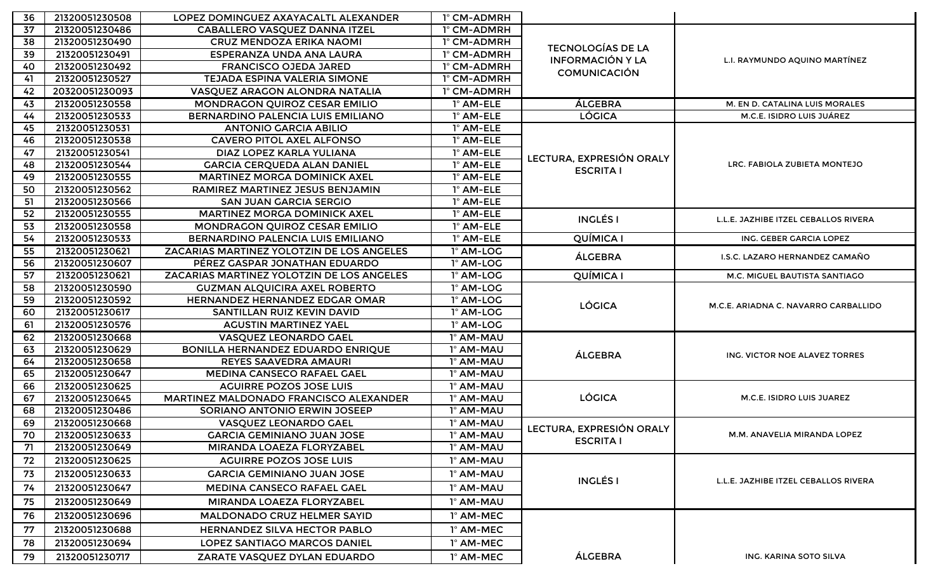| 36  | 21320051230508 | LOPEZ DOMINGUEZ AXAYACALTL ALEXANDER      | 1° CM-ADMRH |                          |                                      |
|-----|----------------|-------------------------------------------|-------------|--------------------------|--------------------------------------|
| 37  | 21320051230486 | CABALLERO VASQUEZ DANNA ITZEL             | 1° CM-ADMRH |                          |                                      |
| 38  | 21320051230490 | <b>CRUZ MENDOZA ERIKA NAOMI</b>           | 1° CM-ADMRH |                          |                                      |
| 39  | 21320051230491 | ESPERANZA UNDA ANA LAURA                  | 1° CM-ADMRH | <b>TECNOLOGÍAS DE LA</b> | L.I. RAYMUNDO AQUINO MARTÍNEZ        |
| 40  | 21320051230492 | <b>FRANCISCO OJEDA JARED</b>              | 1° CM-ADMRH | <b>INFORMACIÓN Y LA</b>  |                                      |
| 41  | 21320051230527 | TEJADA ESPINA VALERIA SIMONE              | 1° CM-ADMRH | <b>COMUNICACIÓN</b>      |                                      |
| 42  | 20320051230093 | VASQUEZ ARAGON ALONDRA NATALIA            | 1° CM-ADMRH |                          |                                      |
| 43  | 21320051230558 | MONDRAGON QUIROZ CESAR EMILIO             | 1° AM-ELE   | ÁLGEBRA                  | M. EN D. CATALINA LUIS MORALES       |
| 44  | 21320051230533 | BERNARDINO PALENCIA LUIS EMILIANO         | 1° AM-ELE   | <b>LÓGICA</b>            | M.C.E. ISIDRO LUIS JUÁREZ            |
| 45  | 21320051230531 | <b>ANTONIO GARCIA ABILIO</b>              | 1° AM-ELE   |                          |                                      |
| 46  | 21320051230538 | <b>CAVERO PITOL AXEL ALFONSO</b>          | 1° AM-ELE   |                          |                                      |
| 47  | 21320051230541 | DIAZ LOPEZ KARLA YULIANA                  | 1° AM-ELE   | LECTURA, EXPRESIÓN ORALY |                                      |
| 48  | 21320051230544 | <b>GARCIA CERQUEDA ALAN DANIEL</b>        | 1° AM-ELE   | <b>ESCRITA I</b>         | LRC. FABIOLA ZUBIETA MONTEJO         |
| 49  | 21320051230555 | <b>MARTINEZ MORGA DOMINICK AXEL</b>       | 1° AM-ELE   |                          |                                      |
| 50  | 21320051230562 | RAMIREZ MARTINEZ JESUS BENJAMIN           | 1° AM-ELE   |                          |                                      |
| -51 | 21320051230566 | <b>SAN JUAN GARCIA SERGIO</b>             | 1° AM-ELE   |                          |                                      |
| 52  | 21320051230555 | <b>MARTINEZ MORGA DOMINICK AXEL</b>       | 1° AM-ELE   | <b>INGLÉS I</b>          | L.L.E. JAZHIBE ITZEL CEBALLOS RIVERA |
| 53  | 21320051230558 | MONDRAGON QUIROZ CESAR EMILIO             | 1° AM-ELE   |                          |                                      |
| 54  | 21320051230533 | BERNARDINO PALENCIA LUIS EMILIANO         | 1° AM-ELE   | <b>QUÍMICA I</b>         | ING. GEBER GARCIA LOPEZ              |
| 55  | 21320051230621 | ZACARIAS MARTINEZ YOLOTZIN DE LOS ANGELES | 1º AM-LOG   | ÁLGEBRA                  | I.S.C. LAZARO HERNANDEZ CAMAÑO       |
| 56  | 21320051230607 | PÉREZ GASPAR JONATHAN EDUARDO             | 1º AM-LOG   |                          |                                      |
| 57  | 21320051230621 | ZACARIAS MARTINEZ YOLOTZIN DE LOS ANGELES | 1° AM-LOG   | QUÍMICA I                | M.C. MIGUEL BAUTISTA SANTIAGO        |
| 58  | 21320051230590 | <b>GUZMAN ALQUICIRA AXEL ROBERTO</b>      | 1º AM-LOG   |                          |                                      |
| 59  | 21320051230592 | <b>HERNANDEZ HERNANDEZ EDGAR OMAR</b>     | 1º AM-LOG   | <b>LÓGICA</b>            | M.C.E. ARIADNA C. NAVARRO CARBALLIDO |
| 60  | 21320051230617 | SANTILLAN RUIZ KEVIN DAVID                | 1° AM-LOG   |                          |                                      |
| 61  | 21320051230576 | <b>AGUSTIN MARTINEZ YAEL</b>              | 1º AM-LOG   |                          |                                      |
| 62  | 21320051230668 | VASQUEZ LEONARDO GAEL                     | 1° AM-MAU   |                          |                                      |
| 63  | 21320051230629 | BONILLA HERNANDEZ EDUARDO ENRIQUE         | 1° AM-MAU   | ÁLGEBRA                  | ING. VICTOR NOE ALAVEZ TORRES        |
| 64  | 21320051230658 | REYES SAAVEDRA AMAURI                     | 1° AM-MAU   |                          |                                      |
| 65  | 21320051230647 | <b>MEDINA CANSECO RAFAEL GAEL</b>         | 1° AM-MAU   |                          |                                      |
| 66  | 21320051230625 | <b>AGUIRRE POZOS JOSE LUIS</b>            | 1° AM-MAU   |                          |                                      |
| 67  | 21320051230645 | MARTINEZ MALDONADO FRANCISCO ALEXANDER    | 1° AM-MAU   | <b>LÓGICA</b>            | M.C.E. ISIDRO LUIS JUAREZ            |
| 68  | 21320051230486 | <b>SORIANO ANTONIO ERWIN JOSEEP</b>       | 1° AM-MAU   |                          |                                      |
| 69  | 21320051230668 | VASQUEZ LEONARDO GAEL                     | 1° AM-MAU   | LECTURA, EXPRESIÓN ORALY |                                      |
| 70  | 21320051230633 | <b>GARCIA GEMINIANO JUAN JOSE</b>         | 1° AM-MAU   | <b>ESCRITA I</b>         | M.M. ANAVELIA MIRANDA LOPEZ          |
| 71  | 21320051230649 | MIRANDA LOAEZA FLORYZABEL                 | 1° AM-MAU   |                          |                                      |
| 72  | 21320051230625 | <b>AGUIRRE POZOS JOSE LUIS</b>            | 1° AM-MAU   |                          |                                      |
| 73  | 21320051230633 | <b>GARCIA GEMINIANO JUAN JOSE</b>         | 1° AM-MAU   | <b>INGLÉS I</b>          |                                      |
| 74  | 21320051230647 | <b>MEDINA CANSECO RAFAEL GAEL</b>         | 1º AM-MAU   |                          | L.L.E. JAZHIBE ITZEL CEBALLOS RIVERA |
| 75  | 21320051230649 | MIRANDA LOAEZA FLORYZABEL                 | 1º AM-MAU   |                          |                                      |
| 76  | 21320051230696 | <b>MALDONADO CRUZ HELMER SAYID</b>        | 1° AM-MEC   |                          |                                      |
| 77  | 21320051230688 | HERNANDEZ SILVA HECTOR PABLO              | 1° AM-MEC   |                          |                                      |
| 78  | 21320051230694 | <b>LOPEZ SANTIAGO MARCOS DANIEL</b>       | 1° AM-MEC   |                          |                                      |
| 79  | 21320051230717 | ZARATE VASQUEZ DYLAN EDUARDO              | 1° AM-MEC   | ÁLGEBRA                  | ING. KARINA SOTO SILVA               |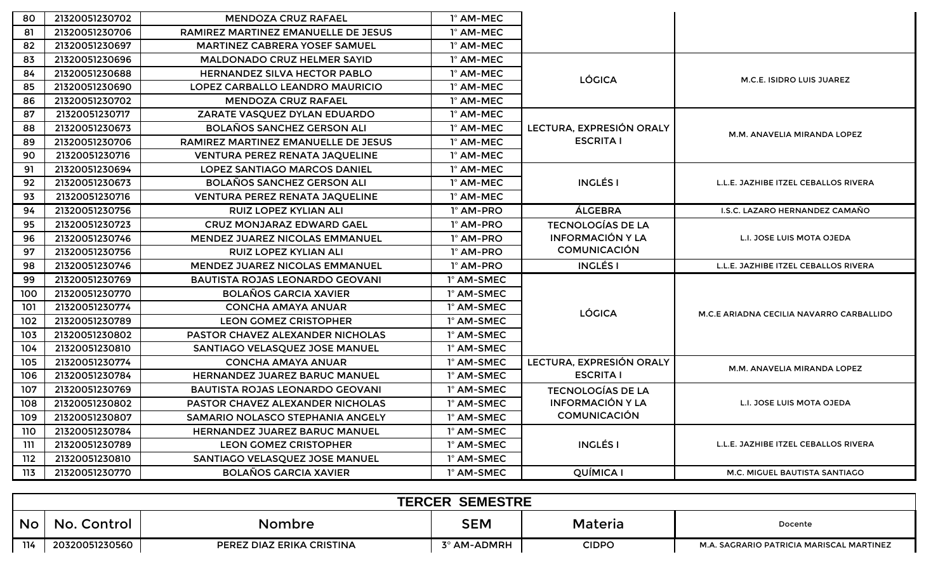| 80  | 21320051230702 | <b>MENDOZA CRUZ RAFAEL</b>              | 1° AM-MEC  |                          |                                          |
|-----|----------------|-----------------------------------------|------------|--------------------------|------------------------------------------|
| 81  | 21320051230706 | RAMIREZ MARTINEZ EMANUELLE DE JESUS     | 1° AM-MEC  |                          |                                          |
| 82  | 21320051230697 | <b>MARTINEZ CABRERA YOSEF SAMUEL</b>    | 1° AM-MEC  |                          |                                          |
| 83  | 21320051230696 | <b>MALDONADO CRUZ HELMER SAYID</b>      | 1° AM-MEC  |                          |                                          |
| 84  | 21320051230688 | <b>HERNANDEZ SILVA HECTOR PABLO</b>     | 1° AM-MEC  | <b>LÓGICA</b>            | M.C.E. ISIDRO LUIS JUAREZ                |
| 85  | 21320051230690 | LOPEZ CARBALLO LEANDRO MAURICIO         | 1° AM-MEC  |                          |                                          |
| 86  | 21320051230702 | <b>MENDOZA CRUZ RAFAEL</b>              | 1° AM-MEC  |                          |                                          |
| 87  | 21320051230717 | ZARATE VASQUEZ DYLAN EDUARDO            | 1° AM-MEC  |                          |                                          |
| 88  | 21320051230673 | <b>BOLAÑOS SANCHEZ GERSON ALI</b>       | 1° AM-MEC  | LECTURA, EXPRESIÓN ORALY | M.M. ANAVELIA MIRANDA LOPEZ              |
| 89  | 21320051230706 | RAMIREZ MARTINEZ EMANUELLE DE JESUS     | 1° AM-MEC  | <b>ESCRITA I</b>         |                                          |
| 90  | 21320051230716 | <b>VENTURA PEREZ RENATA JAQUELINE</b>   | 1° AM-MEC  |                          |                                          |
| 91  | 21320051230694 | <b>LOPEZ SANTIAGO MARCOS DANIEL</b>     | 1° AM-MEC  |                          |                                          |
| 92  | 21320051230673 | <b>BOLAÑOS SANCHEZ GERSON ALI</b>       | 1° AM-MEC  | <b>INGLÉS I</b>          | L.L.E. JAZHIBE ITZEL CEBALLOS RIVERA     |
| 93  | 21320051230716 | <b>VENTURA PEREZ RENATA JAQUELINE</b>   | 1° AM-MEC  |                          |                                          |
| 94  | 21320051230756 | <b>RUIZ LOPEZ KYLIAN ALI</b>            | 1º AM-PRO  | ÁLGEBRA                  | <b>I.S.C. LAZARO HERNANDEZ CAMAÑO</b>    |
| 95  | 21320051230723 | <b>CRUZ MONJARAZ EDWARD GAEL</b>        | 1º AM-PRO  | <b>TECNOLOGÍAS DE LA</b> |                                          |
| 96  | 21320051230746 | MENDEZ JUAREZ NICOLAS EMMANUEL          | 1º AM-PRO  | <b>INFORMACIÓN Y LA</b>  | L.I. JOSE LUIS MOTA OJEDA                |
| 97  | 21320051230756 | <b>RUIZ LOPEZ KYLIAN ALI</b>            | 1º AM-PRO  | <b>COMUNICACIÓN</b>      |                                          |
| 98  | 21320051230746 | <b>MENDEZ JUAREZ NICOLAS EMMANUEL</b>   | 1º AM-PRO  | <b>INGLÉS I</b>          | L.L.E. JAZHIBE ITZEL CEBALLOS RIVERA     |
| 99  | 21320051230769 | <b>BAUTISTA ROJAS LEONARDO GEOVANI</b>  | 1° AM-SMEC |                          |                                          |
| 100 | 21320051230770 | <b>BOLAÑOS GARCIA XAVIER</b>            | 1° AM-SMEC |                          |                                          |
| 101 | 21320051230774 | <b>CONCHA AMAYA ANUAR</b>               | 1° AM-SMEC | <b>LÓGICA</b>            | M.C.E ARIADNA CECILIA NAVARRO CARBALLIDO |
| 102 | 21320051230789 | <b>LEON GOMEZ CRISTOPHER</b>            | 1° AM-SMEC |                          |                                          |
| 103 | 21320051230802 | PASTOR CHAVEZ ALEXANDER NICHOLAS        | 1° AM-SMEC |                          |                                          |
| 104 | 21320051230810 | SANTIAGO VELASQUEZ JOSE MANUEL          | 1° AM-SMEC |                          |                                          |
| 105 | 21320051230774 | <b>CONCHA AMAYA ANUAR</b>               | 1° AM-SMEC | LECTURA, EXPRESIÓN ORALY | M.M. ANAVELIA MIRANDA LOPEZ              |
| 106 | 21320051230784 | <b>HERNANDEZ JUAREZ BARUC MANUEL</b>    | 1° AM-SMEC | <b>ESCRITA I</b>         |                                          |
| 107 | 21320051230769 | <b>BAUTISTA ROJAS LEONARDO GEOVANI</b>  | 1° AM-SMEC | <b>TECNOLOGÍAS DE LA</b> |                                          |
| 108 | 21320051230802 | <b>PASTOR CHAVEZ ALEXANDER NICHOLAS</b> | 1° AM-SMEC | <b>INFORMACIÓN Y LA</b>  | L.I. JOSE LUIS MOTA OJEDA                |
| 109 | 21320051230807 | SAMARIO NOLASCO STEPHANIA ANGELY        | 1° AM-SMEC | <b>COMUNICACIÓN</b>      |                                          |
| 110 | 21320051230784 | HERNANDEZ JUAREZ BARUC MANUEL           | 1° AM-SMEC |                          |                                          |
| 111 | 21320051230789 | <b>LEON GOMEZ CRISTOPHER</b>            | 1° AM-SMEC | <b>INGLÉS I</b>          | L.L.E. JAZHIBE ITZEL CEBALLOS RIVERA     |
| 112 | 21320051230810 | SANTIAGO VELASQUEZ JOSE MANUEL          | 1° AM-SMEC |                          |                                          |
| 113 | 21320051230770 | <b>BOLAÑOS GARCIA XAVIER</b>            | 1° AM-SMEC | QUÍMICA I                | M.C. MIGUEL BAUTISTA SANTIAGO            |

| <b>SEMESTRE</b><br><b>TERCER</b> |                |                           |             |         |                                          |  |  |
|----------------------------------|----------------|---------------------------|-------------|---------|------------------------------------------|--|--|
| <b>No</b>                        | No.<br>Control | Nombre                    | SEM         | Materia | Docente                                  |  |  |
| 114                              | 20320051230560 | PEREZ DIAZ ERIKA CRISTINA | 3° AM-ADMRH | CIDPO   | M.A. SAGRARIO PATRICIA MARISCAL MARTINEZ |  |  |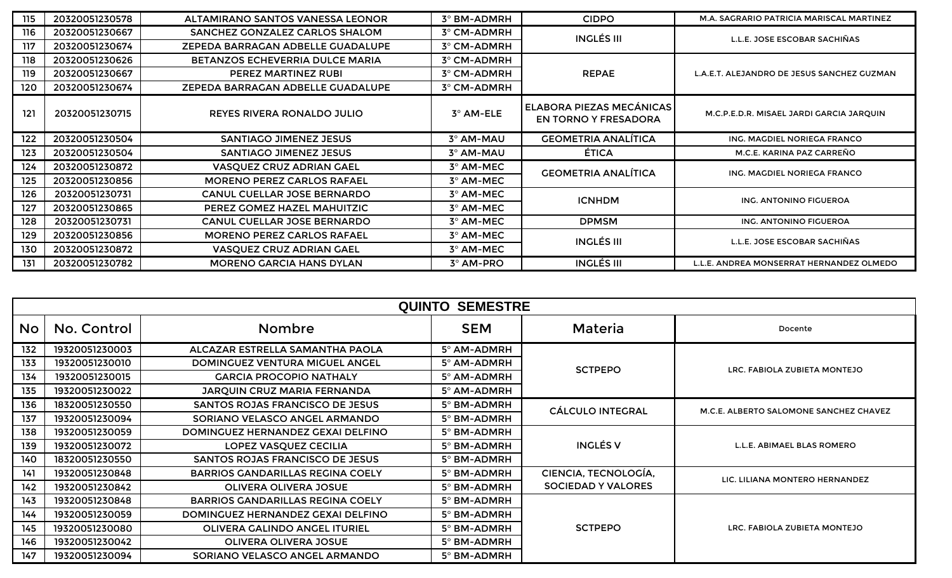| 115 | 20320051230578 | ALTAMIRANO SANTOS VANESSA LEONOR       | 3° BM-ADMRH      | <b>CIDPO</b>                                     | M.A. SAGRARIO PATRICIA MARISCAL MARTINEZ   |
|-----|----------------|----------------------------------------|------------------|--------------------------------------------------|--------------------------------------------|
| 116 | 20320051230667 | SANCHEZ GONZALEZ CARLOS SHALOM         | 3° CM-ADMRH      | <b>INGLÉS III</b>                                | L.L.E. JOSE ESCOBAR SACHIÑAS               |
| 117 | 20320051230674 | ZEPEDA BARRAGAN ADBELLE GUADALUPE      | 3° CM-ADMRH      |                                                  |                                            |
| 118 | 20320051230626 | <b>BETANZOS ECHEVERRIA DULCE MARIA</b> | 3° CM-ADMRH      |                                                  |                                            |
| 119 | 20320051230667 | PEREZ MARTINEZ RUBI                    | 3° CM-ADMRH      | <b>REPAE</b>                                     | L.A.E.T. ALEJANDRO DE JESUS SANCHEZ GUZMAN |
| 120 | 20320051230674 | ZEPEDA BARRAGAN ADBELLE GUADALUPE      | 3° CM-ADMRH      |                                                  |                                            |
| 121 | 20320051230715 | REYES RIVERA RONALDO JULIO             | 3° AM-ELE        | ELABORA PIEZAS MECÁNICAS<br>EN TORNO Y FRESADORA | M.C.P.E.D.R. MISAEL JARDI GARCIA JARQUIN   |
| 122 | 20320051230504 | SANTIAGO JIMENEZ JESUS                 | 3º AM-MAU        | <b>GEOMETRIA ANALÍTICA</b>                       | ING. MAGDIEL NORIEGA FRANCO                |
| 123 | 20320051230504 | SANTIAGO JIMENEZ JESUS                 | 3º AM-MAU        | <b>ÉTICA</b>                                     | M.C.E. KARINA PAZ CARREÑO                  |
| 124 | 20320051230872 | <b>VASQUEZ CRUZ ADRIAN GAEL</b>        | 3° AM-MEC        | <b>GEOMETRIA ANALÍTICA</b>                       | ING. MAGDIEL NORIEGA FRANCO                |
| 125 | 20320051230856 | <b>MORENO PEREZ CARLOS RAFAEL</b>      | 3° AM-MEC        |                                                  |                                            |
| 126 | 20320051230731 | <b>CANUL CUELLAR JOSE BERNARDO</b>     | 3° AM-MEC        | <b>ICNHDM</b>                                    | ING. ANTONINO FIGUEROA                     |
| 127 | 20320051230865 | PEREZ GOMEZ HAZEL MAHUITZIC            | 3° AM-MEC        |                                                  |                                            |
| 128 | 20320051230731 | <b>CANUL CUELLAR JOSE BERNARDO</b>     | 3° AM-MEC        | <b>DPMSM</b>                                     | ING. ANTONINO FIGUEROA                     |
| 129 | 20320051230856 | <b>MORENO PEREZ CARLOS RAFAEL</b>      | 3° AM-MEC        | <b>INGLÉS III</b>                                | L.L.E. JOSE ESCOBAR SACHIÑAS               |
| 130 | 20320051230872 | VASQUEZ CRUZ ADRIAN GAEL               | 3° AM-MEC        |                                                  |                                            |
| 131 | 20320051230782 | <b>MORENO GARCIA HANS DYLAN</b>        | $3^\circ$ AM-PRO | <b>INGLÉS III</b>                                | L.L.E. ANDREA MONSERRAT HERNANDEZ OLMEDO   |

|           | <b>QUINTO SEMESTRE</b> |                                         |                    |                           |                                        |  |  |
|-----------|------------------------|-----------------------------------------|--------------------|---------------------------|----------------------------------------|--|--|
| <b>No</b> | No. Control            | <b>Nombre</b>                           | <b>SEM</b>         | Materia                   | Docente                                |  |  |
| 132       | 19320051230003         | ALCAZAR ESTRELLA SAMANTHA PAOLA         | 5° AM-ADMRH        |                           |                                        |  |  |
| 133       | 19320051230010         | DOMINGUEZ VENTURA MIGUEL ANGEL          | 5° AM-ADMRH        | <b>SCTPEPO</b>            | LRC. FABIOLA ZUBIETA MONTEJO           |  |  |
| 134       | 19320051230015         | <b>GARCIA PROCOPIO NATHALY</b>          | 5° AM-ADMRH        |                           |                                        |  |  |
| 135       | 19320051230022         | JARQUIN CRUZ MARIA FERNANDA             | 5° AM-ADMRH        |                           |                                        |  |  |
| 136       | 18320051230550         | <b>SANTOS ROJAS FRANCISCO DE JESUS</b>  | 5° BM-ADMRH        | <b>CÁLCULO INTEGRAL</b>   | M.C.E. ALBERTO SALOMONE SANCHEZ CHAVEZ |  |  |
| 137       | 19320051230094         | SORIANO VELASCO ANGEL ARMANDO           | 5° BM-ADMRH        |                           |                                        |  |  |
| 138       | 19320051230059         | DOMINGUEZ HERNANDEZ GEXAI DELFINO       | 5° BM-ADMRH        |                           |                                        |  |  |
| 139       | 19320051230072         | LOPEZ VASQUEZ CECILIA                   | $5^\circ$ BM-ADMRH | <b>INGLÉS V</b>           | L.L.E. ABIMAEL BLAS ROMERO             |  |  |
| 140       | 18320051230550         | SANTOS ROJAS FRANCISCO DE JESUS         | 5° BM-ADMRH        |                           |                                        |  |  |
| 141       | 19320051230848         | <b>BARRIOS GANDARILLAS REGINA COELY</b> | 5° BM-ADMRH        | CIENCIA, TECNOLOGÍA,      | LIC. LILIANA MONTERO HERNANDEZ         |  |  |
| 142       | 19320051230842         | <b>OLIVERA OLIVERA JOSUE</b>            | 5° BM-ADMRH        | <b>SOCIEDAD Y VALORES</b> |                                        |  |  |
| 143       | 19320051230848         | <b>BARRIOS GANDARILLAS REGINA COELY</b> | 5° BM-ADMRH        |                           |                                        |  |  |
| 144       | 19320051230059         | DOMINGUEZ HERNANDEZ GEXAI DELFINO       | 5° BM-ADMRH        |                           |                                        |  |  |
| 145       | 19320051230080         | <b>OLIVERA GALINDO ANGEL ITURIEL</b>    | 5° BM-ADMRH        | <b>SCTPEPO</b>            | LRC. FABIOLA ZUBIETA MONTEJO           |  |  |
| 146       | 19320051230042         | <b>OLIVERA OLIVERA JOSUE</b>            | 5° BM-ADMRH        |                           |                                        |  |  |
| 147       | 19320051230094         | SORIANO VELASCO ANGEL ARMANDO           | 5° BM-ADMRH        |                           |                                        |  |  |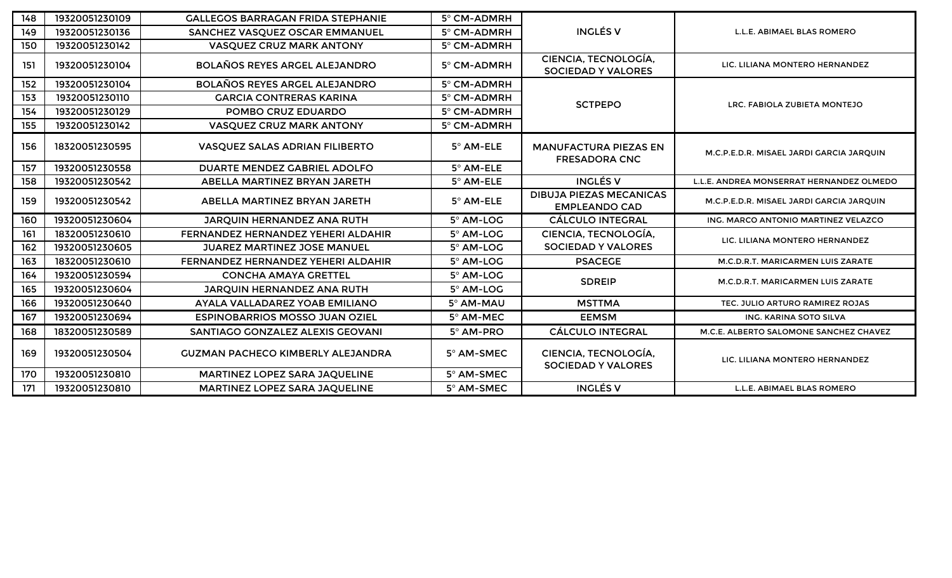| 148 | 19320051230109 | <b>GALLEGOS BARRAGAN FRIDA STEPHANIE</b> | 5° CM-ADMRH      |                                                        |                                          |
|-----|----------------|------------------------------------------|------------------|--------------------------------------------------------|------------------------------------------|
| 149 | 19320051230136 | SANCHEZ VASQUEZ OSCAR EMMANUEL           | 5° CM-ADMRH      | <b>INGLÉS V</b>                                        | L.L.E. ABIMAEL BLAS ROMERO               |
| 150 | 19320051230142 | <b>VASQUEZ CRUZ MARK ANTONY</b>          | 5° CM-ADMRH      |                                                        |                                          |
| 151 | 19320051230104 | <b>BOLAÑOS REYES ARGEL ALEJANDRO</b>     | 5° CM-ADMRH      | CIENCIA, TECNOLOGÍA,<br><b>SOCIEDAD Y VALORES</b>      | LIC. LILIANA MONTERO HERNANDEZ           |
| 152 | 19320051230104 | <b>BOLAÑOS REYES ARGEL ALEJANDRO</b>     | 5° CM-ADMRH      |                                                        |                                          |
| 153 | 19320051230110 | <b>GARCIA CONTRERAS KARINA</b>           | 5° CM-ADMRH      | <b>SCTPEPO</b>                                         | LRC. FABIOLA ZUBIETA MONTEJO             |
| 154 | 19320051230129 | POMBO CRUZ EDUARDO                       | 5° CM-ADMRH      |                                                        |                                          |
| 155 | 19320051230142 | <b>VASQUEZ CRUZ MARK ANTONY</b>          | 5° CM-ADMRH      |                                                        |                                          |
| 156 | 18320051230595 | VASQUEZ SALAS ADRIAN FILIBERTO           | 5° AM-ELE        | <b>MANUFACTURA PIEZAS EN</b><br><b>FRESADORA CNC</b>   | M.C.P.E.D.R. MISAEL JARDI GARCIA JARQUIN |
| 157 | 19320051230558 | DUARTE MENDEZ GABRIEL ADOLFO             | $5^\circ$ AM-ELE |                                                        |                                          |
| 158 | 19320051230542 | ABELLA MARTINEZ BRYAN JARETH             | 5° AM-ELE        | <b>INGLÉS V</b>                                        | L.L.E. ANDREA MONSERRAT HERNANDEZ OLMEDO |
| 159 | 19320051230542 | ABELLA MARTINEZ BRYAN JARETH             | $5^\circ$ AM-ELE | <b>DIBUJA PIEZAS MECANICAS</b><br><b>EMPLEANDO CAD</b> | M.C.P.E.D.R. MISAEL JARDI GARCIA JARQUIN |
| 160 | 19320051230604 | JARQUIN HERNANDEZ ANA RUTH               | 5° AM-LOG        | <b>CÁLCULO INTEGRAL</b>                                | ING. MARCO ANTONIO MARTINEZ VELAZCO      |
| 161 | 18320051230610 | FERNANDEZ HERNANDEZ YEHERI ALDAHIR       | 5° AM-LOG        | CIENCIA, TECNOLOGÍA,                                   | LIC. LILIANA MONTERO HERNANDEZ           |
| 162 | 19320051230605 | <b>JUAREZ MARTINEZ JOSE MANUEL</b>       | 5° AM-LOG        | <b>SOCIEDAD Y VALORES</b>                              |                                          |
| 163 | 18320051230610 | FERNANDEZ HERNANDEZ YEHERI ALDAHIR       | 5° AM-LOG        | <b>PSACEGE</b>                                         | M.C.D.R.T. MARICARMEN LUIS ZARATE        |
| 164 | 19320051230594 | <b>CONCHA AMAYA GRETTEL</b>              | 5° AM-LOG        | <b>SDREIP</b>                                          | M.C.D.R.T. MARICARMEN LUIS ZARATE        |
| 165 | 19320051230604 | JARQUIN HERNANDEZ ANA RUTH               | 5° AM-LOG        |                                                        |                                          |
| 166 | 19320051230640 | AYALA VALLADAREZ YOAB EMILIANO           | 5° AM-MAU        | <b>MSTTMA</b>                                          | TEC. JULIO ARTURO RAMIREZ ROJAS          |
| 167 | 19320051230694 | <b>ESPINOBARRIOS MOSSO JUAN OZIEL</b>    | 5° AM-MEC        | <b>EEMSM</b>                                           | ING. KARINA SOTO SILVA                   |
| 168 | 18320051230589 | SANTIAGO GONZALEZ ALEXIS GEOVANI         | 5° AM-PRO        | <b>CÁLCULO INTEGRAL</b>                                | M.C.E. ALBERTO SALOMONE SANCHEZ CHAVEZ   |
| 169 | 19320051230504 | <b>GUZMAN PACHECO KIMBERLY ALEJANDRA</b> | 5° AM-SMEC       | CIENCIA, TECNOLOGÍA,<br><b>SOCIEDAD Y VALORES</b>      | LIC. LILIANA MONTERO HERNANDEZ           |
| 170 | 19320051230810 | MARTINEZ LOPEZ SARA JAQUELINE            | 5° AM-SMEC       |                                                        |                                          |
| 171 | 19320051230810 | MARTINEZ LOPEZ SARA JAQUELINE            | 5° AM-SMEC       | <b>INGLÉS V</b>                                        | L.L.E. ABIMAEL BLAS ROMERO               |